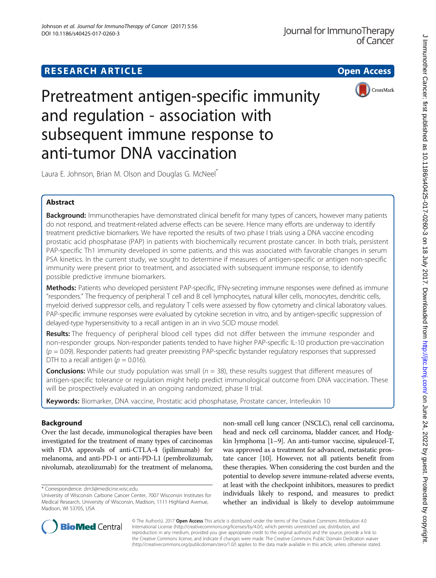# **RESEARCH ARTICLE Example 2014 12:30 The Contract of Contract Contract Contract Contract Contract Contract Contract Contract Contract Contract Contract Contract Contract Contract Contract Contract Contract Contract Contr**



Pretreatment antigen-specific immunity and regulation - association with subsequent immune response to anti-tumor DNA vaccination

Laura E. Johnson, Brian M. Olson and Douglas G. McNeel<sup>\*</sup>

# Abstract

Background: Immunotherapies have demonstrated clinical benefit for many types of cancers, however many patients do not respond, and treatment-related adverse effects can be severe. Hence many efforts are underway to identify treatment predictive biomarkers. We have reported the results of two phase I trials using a DNA vaccine encoding prostatic acid phosphatase (PAP) in patients with biochemically recurrent prostate cancer. In both trials, persistent PAP-specific Th1 immunity developed in some patients, and this was associated with favorable changes in serum PSA kinetics. In the current study, we sought to determine if measures of antigen-specific or antigen non-specific immunity were present prior to treatment, and associated with subsequent immune response, to identify possible predictive immune biomarkers.

Methods: Patients who developed persistent PAP-specific, IFNy-secreting immune responses were defined as immune "responders." The frequency of peripheral T cell and B cell lymphocytes, natural killer cells, monocytes, dendritic cells, myeloid derived suppressor cells, and regulatory T cells were assessed by flow cytometry and clinical laboratory values. PAP-specific immune responses were evaluated by cytokine secretion in vitro, and by antigen-specific suppression of delayed-type hypersensitivity to a recall antigen in an in vivo SCID mouse model.

Results: The frequency of peripheral blood cell types did not differ between the immune responder and non-responder groups. Non-responder patients tended to have higher PAP-specific IL-10 production pre-vaccination  $(p = 0.09)$ . Responder patients had greater preexisting PAP-specific bystander regulatory responses that suppressed DTH to a recall antigen ( $p = 0.016$ ).

**Conclusions:** While our study population was small  $(n = 38)$ , these results suggest that different measures of antigen-specific tolerance or regulation might help predict immunological outcome from DNA vaccination. These will be prospectively evaluated in an ongoing randomized, phase II trial.

Keywords: Biomarker, DNA vaccine, Prostatic acid phosphatase, Prostate cancer, Interleukin 10

# Background

Over the last decade, immunological therapies have been investigated for the treatment of many types of carcinomas with FDA approvals of anti-CTLA-4 (ipilimumab) for melanoma, and anti-PD-1 or anti-PD-L1 (pembrolizumab, nivolumab, atezolizumab) for the treatment of melanoma, non-small cell lung cancer (NSCLC), renal cell carcinoma, head and neck cell carcinoma, bladder cancer, and Hodgkin lymphoma [\[1](#page-9-0)–[9](#page-9-0)]. An anti-tumor vaccine, sipuleucel-T, was approved as a treatment for advanced, metastatic prostate cancer [\[10\]](#page-9-0). However, not all patients benefit from these therapies. When considering the cost burden and the potential to develop severe immune-related adverse events, at least with the checkpoint inhibitors, measures to predict individuals likely to respond, and measures to predict whether an individual is likely to develop autoimmune



© The Author(s). 2017 Open Access This article is distributed under the terms of the Creative Commons Attribution 4.0 International License [\(http://creativecommons.org/licenses/by/4.0/](http://creativecommons.org/licenses/by/4.0/)), which permits unrestricted use, distribution, and reproduction in any medium, provided you give appropriate credit to the original author(s) and the source, provide a link to the Creative Commons license, and indicate if changes were made. The Creative Commons Public Domain Dedication waiver [\(http://creativecommons.org/publicdomain/zero/1.0/](http://creativecommons.org/publicdomain/zero/1.0/)) applies to the data made available in this article, unless otherwise stated.

<sup>\*</sup> Correspondence: [dm3@medicine.wisc.edu](mailto:dm3@medicine.wisc.edu)

University of Wisconsin Carbone Cancer Center, 7007 Wisconsin Institutes for Medical Research, University of Wisconsin, Madison, 1111 Highland Avenue, Madison, WI 53705, USA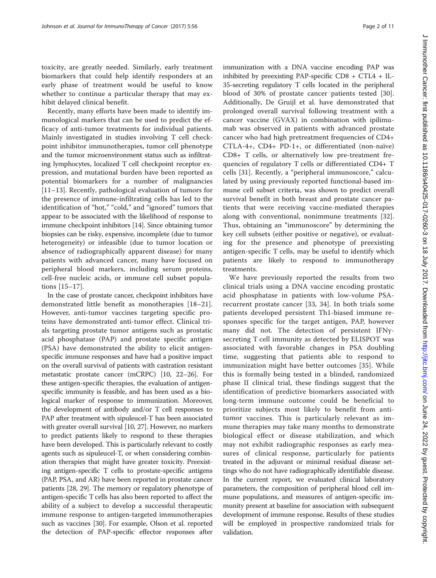toxicity, are greatly needed. Similarly, early treatment biomarkers that could help identify responders at an early phase of treatment would be useful to know whether to continue a particular therapy that may exhibit delayed clinical benefit.

Recently, many efforts have been made to identify immunological markers that can be used to predict the efficacy of anti-tumor treatments for individual patients. Mainly investigated in studies involving T cell checkpoint inhibitor immunotherapies, tumor cell phenotype and the tumor microenvironment status such as infiltrating lymphocytes, localized T cell checkpoint receptor expression, and mutational burden have been reported as potential biomarkers for a number of malignancies [[11](#page-9-0)–[13\]](#page-9-0). Recently, pathological evaluation of tumors for the presence of immune-infiltrating cells has led to the identification of "hot," "cold," and "ignored" tumors that appear to be associated with the likelihood of response to immune checkpoint inhibitors [[14](#page-9-0)]. Since obtaining tumor biopsies can be risky, expensive, incomplete (due to tumor heterogeneity) or infeasible (due to tumor location or absence of radiographically apparent disease) for many patients with advanced cancer, many have focused on peripheral blood markers, including serum proteins, cell-free nucleic acids, or immune cell subset populations [\[15](#page-9-0)–[17](#page-9-0)].

In the case of prostate cancer, checkpoint inhibitors have demonstrated little benefit as monotherapies [[18](#page-9-0)–[21](#page-9-0)]. However, anti-tumor vaccines targeting specific proteins have demonstrated anti-tumor effect. Clinical trials targeting prostate tumor antigens such as prostatic acid phosphatase (PAP) and prostate specific antigen (PSA) have demonstrated the ability to elicit antigenspecific immune responses and have had a positive impact on the overall survival of patients with castration resistant metastatic prostate cancer (mCRPC) [[10](#page-9-0), [22](#page-9-0)–[26\]](#page-9-0). For these antigen-specific therapies, the evaluation of antigenspecific immunity is feasible, and has been used as a biological marker of response to immunization. Moreover, the development of antibody and/or T cell responses to PAP after treatment with sipuleucel-T has been associated with greater overall survival [\[10, 27](#page-9-0)]. However, no markers to predict patients likely to respond to these therapies have been developed. This is particularly relevant to costly agents such as sipuleucel-T, or when considering combination therapies that might have greater toxicity. Preexisting antigen-specific T cells to prostate-specific antigens (PAP, PSA, and AR) have been reported in prostate cancer patients [\[28, 29\]](#page-10-0). The memory or regulatory phenotype of antigen-specific T cells has also been reported to affect the ability of a subject to develop a successful therapeutic immune response to antigen-targeted immunotherapies such as vaccines [\[30](#page-10-0)]. For example, Olson et al. reported the detection of PAP-specific effector responses after immunization with a DNA vaccine encoding PAP was inhibited by preexisting PAP-specific CD8 + CTL4 + IL-35-secreting regulatory T cells located in the peripheral blood of 30% of prostate cancer patients tested [\[30](#page-10-0)]. Additionally, De Gruijl et al. have demonstrated that prolonged overall survival following treatment with a cancer vaccine (GVAX) in combination with ipilimumab was observed in patients with advanced prostate cancer who had high pretreatment frequencies of CD4+ CTLA-4+, CD4+ PD-1+, or differentiated (non-naïve) CD8+ T cells, or alternatively low pre-treatment frequencies of regulatory T cells or differentiated CD4+ T cells [[31\]](#page-10-0). Recently, a "peripheral immunoscore," calculated by using previously reported functional-based immune cell subset criteria, was shown to predict overall survival benefit in both breast and prostate cancer patients that were receiving vaccine-mediated therapies along with conventional, nonimmune treatments [\[32](#page-10-0)]. Thus, obtaining an "immunoscore" by determining the key cell subsets (either positive or negative), or evaluating for the presence and phenotype of preexisting antigen-specific T cells, may be useful to identify which patients are likely to respond to immunotherapy treatments.

We have previously reported the results from two clinical trials using a DNA vaccine encoding prostatic acid phosphatase in patients with low-volume PSArecurrent prostate cancer [[33, 34\]](#page-10-0). In both trials some patients developed persistent Th1-biased immune responses specific for the target antigen, PAP, however many did not. The detection of persistent IFNγsecreting T cell immunity as detected by ELISPOT was associated with favorable changes in PSA doubling time, suggesting that patients able to respond to immunization might have better outcomes [[35](#page-10-0)]. While this is formally being tested in a blinded, randomized phase II clinical trial, these findings suggest that the identification of predictive biomarkers associated with long-term immune outcome could be beneficial to prioritize subjects most likely to benefit from antitumor vaccines. This is particularly relevant as immune therapies may take many months to demonstrate biological effect or disease stabilization, and which may not exhibit radiographic responses as early measures of clinical response, particularly for patients treated in the adjuvant or minimal residual disease settings who do not have radiographically identifiable disease. In the current report, we evaluated clinical laboratory parameters, the composition of peripheral blood cell immune populations, and measures of antigen-specific immunity present at baseline for association with subsequent development of immune response. Results of these studies will be employed in prospective randomized trials for validation.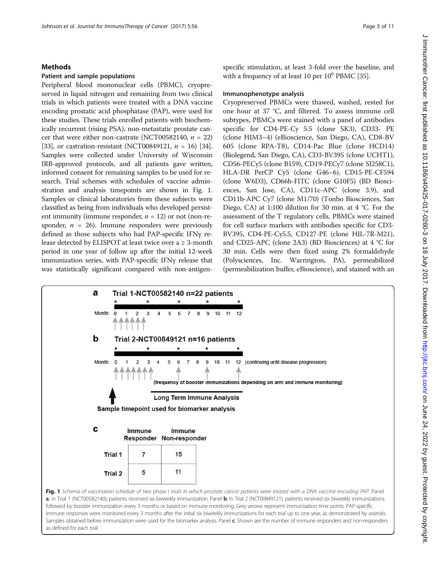### <span id="page-2-0"></span>Methods

## Patient and sample populations

Peripheral blood mononuclear cells (PBMC), cryopreserved in liquid nitrogen and remaining from two clinical trials in which patients were treated with a DNA vaccine encoding prostatic acid phosphatase (PAP), were used for these studies. These trials enrolled patients with biochemically recurrent (rising PSA), non-metastatic prostate cancer that were either non-castrate (NCT00582140,  $n = 22$ ) [[33](#page-10-0)], or castration-resistant (NCT00849121,  $n = 16$ ) [[34](#page-10-0)]. Samples were collected under University of Wisconsin IRB-approved protocols, and all patients gave written, informed consent for remaining samples to be used for research. Trial schemes with schedules of vaccine adminstration and analysis timepoints are shown in Fig. 1. Samples or clinical laboratories from these subjects were classified as being from individuals who developed persistent immunity (immune responder,  $n = 12$ ) or not (non-responder,  $n = 26$ ). Immune responders were previously defined as those subjects who had PAP-specific IFNγ release detected by ELISPOT at least twice over  $a \ge 3$ -month period in one year of follow up after the initial 12-week immunization series, with PAP-specific IFNγ release that was statistically significant compared with non-antigenspecific stimulation, at least 3-fold over the baseline, and with a frequency of at least 10 per  $10^6$  PBMC [\[35\]](#page-10-0).

### Immunophenotype analysis

Cryopreserved PBMCs were thawed, washed, rested for one hour at 37 °C, and filtered. To assess immune cell subtypes, PBMCs were stained with a panel of antibodies specific for CD4-PE-Cy 5.5 (clone SK3), CD33- PE (clone HIM3–4) (eBioscience, San Diego, CA), CD8-BV 605 (clone RPA-T8), CD14-Pac Blue (clone HCD14) (Biolegend, San Diego, CA), CD3-BV395 (clone UCHT1), CD56-PECy5 (clone B159), CD19-PECy7 (clone SJ258C1), HLA-DR PerCP Cy5 (clone G46–6), CD15-PE-CF594 (clone W6D3), CD66b-FITC (clone G10F5) (BD Biosciences, San Jose, CA), CD11c-APC (clone 3.9), and CD11b-APC Cy7 (clone M1/70) (Tonbo Biosciences, San Diego, CA) at 1:100 dilution for 30 min. at 4 °C. For the assessment of the T regulatory cells, PBMCs were stained for cell surface markers with antibodies specific for CD3- BV395, CD4-PE-Cy5.5, CD127-PE (clone HIL-7R-M21), and CD25-APC (clone 2A3) (BD Biosciences) at 4 °C for 30 min. Cells were then fixed using 2% formaldehyde (Polysciences, Inc. Warrington, PA), permeabilized (permeabilization buffer, eBioscience), and stained with an



followed by booster immunization every 3 months or based on immune monitoring. Grey arrows represent immunization time points. PAP-specific immune responses were monitored every 3 months after the initial six biweekly immunizations for each trial up to one year, as demonstrated by asterisks. Samples obtained before immunization were used for the biomarker analysis. Panel c: Shown are the number of immune responders and non-responders as defined for each trial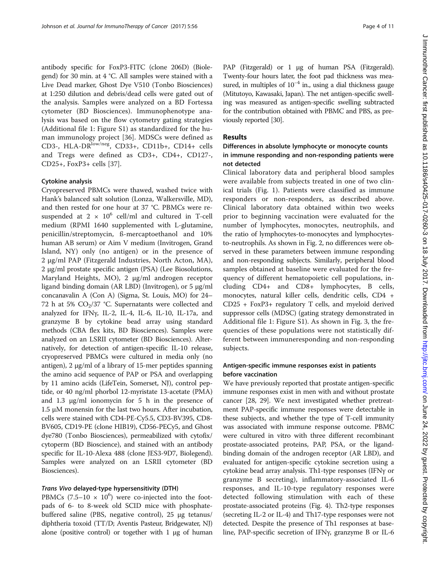antibody specific for FoxP3-FITC (clone 206D) (Biolegend) for 30 min. at 4 °C. All samples were stained with a Live Dead marker, Ghost Dye V510 (Tonbo Biosciences) at 1:250 dilution and debris/dead cells were gated out of the analysis. Samples were analyzed on a BD Fortessa cytometer (BD Biosciences). Immunophenotype analysis was based on the flow cytometry gating strategies (Additional file [1:](#page-9-0) Figure S1) as standardized for the human immunology project [\[36](#page-10-0)]. MDSCs were defined as CD3-, HLA-DRlow/neg, CD33+, CD11b+, CD14+ cells and Tregs were defined as CD3+, CD4+, CD127-, CD25+, FoxP3+ cells [[37\]](#page-10-0).

### Cytokine analysis

Cryopreserved PBMCs were thawed, washed twice with Hank's balanced salt solution (Lonza, Walkersville, MD), and then rested for one hour at 37 °C. PBMCs were resuspended at  $2 \times 10^6$  cell/ml and cultured in T-cell medium (RPMI 1640 supplemented with L-glutamine, penicillin/streptomycin, ß-mercaptoethanol and 10% human AB serum) or Aim V medium (Invitrogen, Grand Island, NY) only (no antigen) or in the presence of 2 μg/ml PAP (Fitzgerald Industries, North Acton, MA), 2 μg/ml prostate specific antigen (PSA) (Lee Biosolutions, Maryland Heights, MO), 2 μg/ml androgen receptor ligand binding domain (AR LBD) (Invitrogen), or 5 μg/ml concanavalin A (Con A) (Sigma, St. Louis, MO) for 24– 72 h at 5%  $CO<sub>2</sub>/37$  °C. Supernatants were collected and analyzed for IFNγ, IL-2, IL-4, IL-6, IL-10, IL-17a, and granzyme B by cytokine bead array using standard methods (CBA flex kits, BD Biosciences). Samples were analyzed on an LSRII cytometer (BD Biosciences). Alternatively, for detection of antigen-specific IL-10 release, cryopreserved PBMCs were cultured in media only (no antigen), 2 μg/ml of a library of 15-mer peptides spanning the amino acid sequence of PAP or PSA and overlapping by 11 amino acids (LifeTein, Somerset, NJ), control peptide, or 40 ng/ml phorbol 12-myristate 13-acetate (PMA) and 1.3 μg/ml ionomycin for 5 h in the presence of 1.5 μM monensin for the last two hours. After incubation, cells were stained with CD4-PE-Cy5.5, CD3-BV395, CD8- BV605, CD19-PE (clone HIB19), CD56-PECy5, and Ghost dye780 (Tonbo Biosciences), permeabilized with cytofix/ cytoperm (BD Bioscience), and stained with an antibody specific for IL-10-Alexa 488 (clone JES3-9D7, Biolegend). Samples were analyzed on an LSRII cytometer (BD Biosciences).

### Trans Vivo delayed-type hypersensitivity (DTH)

PBMCs (7.5–10  $\times$  10<sup>6</sup>) were co-injected into the footpads of 6- to 8-week old SCID mice with phosphatebuffered saline (PBS, negative control), 25 μg tetanus/ diphtheria toxoid (TT/D; Aventis Pasteur, Bridgewater, NJ) alone (positive control) or together with 1 μg of human PAP (Fitzgerald) or 1 μg of human PSA (Fitzgerald). Twenty-four hours later, the foot pad thickness was measured, in multiples of  $10^{-4}$  in., using a dial thickness gauge (Mitutoyo, Kawasaki, Japan). The net antigen-specific swelling was measured as antigen-specific swelling subtracted for the contribution obtained with PBMC and PBS, as previously reported [\[30\]](#page-10-0).

### Results

# Differences in absolute lymphocyte or monocyte counts in immune responding and non-responding patients were not detected

Clinical laboratory data and peripheral blood samples were available from subjects treated in one of two clinical trials (Fig. [1\)](#page-2-0). Patients were classified as immune responders or non-responders, as described above. Clinical laboratory data obtained within two weeks prior to beginning vaccination were evaluated for the number of lymphocytes, monocytes, neutrophils, and the ratio of lymphocytes-to-monocytes and lymphocytesto-neutrophils. As shown in Fig. [2](#page-4-0), no differences were observed in these parameters between immune responding and non-responding subjects. Similarly, peripheral blood samples obtained at baseline were evaluated for the frequency of different hematopoietic cell populations, including CD4+ and CD8+ lymphocytes, B cells, monocytes, natural killer cells, dendritic cells, CD4 + CD25 + FoxP3+ regulatory T cells, and myeloid derived suppressor cells (MDSC) (gating strategy demonstrated in Additional file [1](#page-9-0): Figure S1). As shown in Fig. [3,](#page-5-0) the frequencies of these populations were not statistically different between immuneresponding and non-responding subjects.

# Antigen-specific immune responses exist in patients before vaccination

We have previously reported that prostate antigen-specific immune responses exist in men with and without prostate cancer [[28](#page-10-0), [29](#page-10-0)]. We next investigated whether pretreatment PAP-specific immune responses were detectable in these subjects, and whether the type of T-cell immunity was associated with immune response outcome. PBMC were cultured in vitro with three different recombinant prostate-associated proteins, PAP, PSA, or the ligandbinding domain of the androgen receptor (AR LBD), and evaluated for antigen-specific cytokine secretion using a cytokine bead array analysis. Th1-type responses (IFNγ or granzyme B secreting), inflammatory-associated IL-6 responses, and IL-10-type regulatory responses were detected following stimulation with each of these prostate-associated proteins (Fig. [4](#page-6-0)). Th2-type responses (secreting IL-2 or IL-4) and Th17-type responses were not detected. Despite the presence of Th1 responses at baseline, PAP-specific secretion of IFNγ, granzyme B or IL-6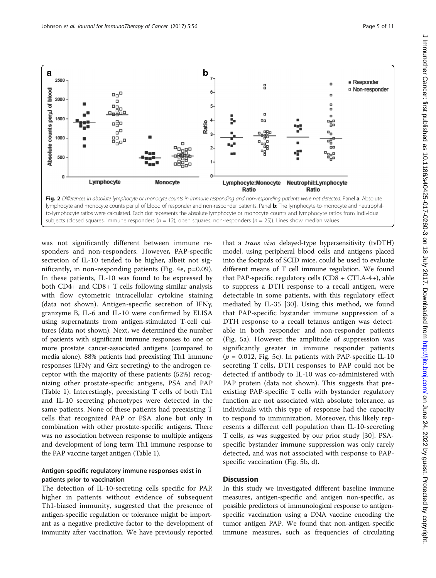<span id="page-4-0"></span>

subjects (closed squares, immune responders ( $n = 12$ ); open squares, non-responders ( $n = 25$ )). Lines show median values

was not significantly different between immune responders and non-responders. However, PAP-specific secretion of IL-10 tended to be higher, albeit not significantly, in non-responding patients (Fig. [4e,](#page-6-0) p=0.09). In these patients, IL-10 was found to be expressed by both CD4+ and CD8+ T cells following similar analysis with flow cytometric intracellular cytokine staining (data not shown). Antigen-specific secretion of IFNγ, granzyme B, IL-6 and IL-10 were confirmed by ELISA using supernatants from antigen-stimulated T-cell cultures (data not shown). Next, we determined the number of patients with significant immune responses to one or more prostate cancer-associated antigens (compared to media alone). 88% patients had preexisting Th1 immune responses (IFNγ and Grz secreting) to the androgen receptor with the majority of these patients (52%) recognizing other prostate-specific antigens, PSA and PAP (Table [1](#page-7-0)). Interestingly, preexisting T cells of both Th1 and IL-10 secreting phenotypes were detected in the same patients. None of these patients had preexisting T cells that recognized PAP or PSA alone but only in combination with other prostate-specific antigens. There was no association between response to multiple antigens and development of long term Th1 immune response to the PAP vaccine target antigen (Table [1](#page-7-0)).

# Antigen-specific regulatory immune responses exist in patients prior to vaccination

The detection of IL-10-secreting cells specific for PAP, higher in patients without evidence of subsequent Th1-biased immunity, suggested that the presence of antigen-specific regulation or tolerance might be important as a negative predictive factor to the development of immunity after vaccination. We have previously reported

that a *trans vivo* delayed-type hypersensitivity (tvDTH) model, using peripheral blood cells and antigens placed into the footpads of SCID mice, could be used to evaluate different means of T cell immune regulation. We found that PAP-specific regulatory cells  $(CD8 + CTLA-4+)$ , able to suppress a DTH response to a recall antigen, were detectable in some patients, with this regulatory effect mediated by IL-35 [[30\]](#page-10-0). Using this method, we found that PAP-specific bystander immune suppression of a DTH response to a recall tetanus antigen was detectable in both responder and non-responder patients (Fig. [5a](#page-7-0)). However, the amplitude of suppression was significantly greater in immune responder patients  $(p = 0.012,$  Fig. [5c](#page-7-0)). In patients with PAP-specific IL-10 secreting T cells, DTH responses to PAP could not be detected if antibody to IL-10 was co-administered with PAP protein (data not shown). This suggests that preexisting PAP-specific T cells with bystander regulatory function are not associated with absolute tolerance, as individuals with this type of response had the capacity to respond to immunization. Moreover, this likely represents a different cell population than IL-10-secreting T cells, as was suggested by our prior study [\[30](#page-10-0)]. PSAspecific bystander immune suppression was only rarely detected, and was not associated with response to PAPspecific vaccination (Fig. [5b](#page-7-0), d).

# **Discussion**

In this study we investigated different baseline immune measures, antigen-specific and antigen non-specific, as possible predictors of immunological response to antigenspecific vaccination using a DNA vaccine encoding the tumor antigen PAP. We found that non-antigen-specific immune measures, such as frequencies of circulating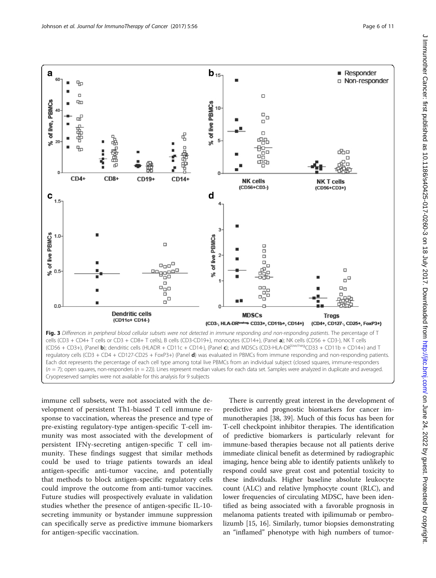<span id="page-5-0"></span>

immune cell subsets, were not associated with the development of persistent Th1-biased T cell immune response to vaccination, whereas the presence and type of pre-existing regulatory-type antigen-specific T-cell immunity was most associated with the development of persistent IFNγ-secreting antigen-specific T cell immunity. These findings suggest that similar methods could be used to triage patients towards an ideal antigen-specific anti-tumor vaccine, and potentially that methods to block antigen-specific regulatory cells could improve the outcome from anti-tumor vaccines. Future studies will prospectively evaluate in validation studies whether the presence of antigen-specific IL-10 secreting immunity or bystander immune suppression can specifically serve as predictive immune biomarkers for antigen-specific vaccination.

There is currently great interest in the development of predictive and prognostic biomarkers for cancer immunotherapies [\[38, 39](#page-10-0)]. Much of this focus has been for T-cell checkpoint inhibitor therapies. The identification of predictive biomarkers is particularly relevant for immune-based therapies because not all patients derive immediate clinical benefit as determined by radiographic imaging, hence being able to identify patients unlikely to respond could save great cost and potential toxicity to these individuals. Higher baseline absolute leukocyte count (ALC) and relative lymphocyte count (RLC), and lower frequencies of circulating MDSC, have been identified as being associated with a favorable prognosis in melanoma patients treated with ipilimumab or pembrolizumb [\[15](#page-9-0), [16](#page-9-0)]. Similarly, tumor biopsies demonstrating an "inflamed" phenotype with high numbers of tumor-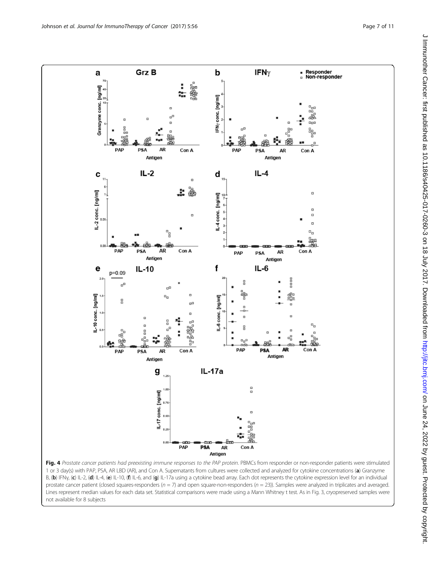<span id="page-6-0"></span>

Fig. 4 Prostate cancer patients had preexisting immune responses to the PAP protein. PBMCs from responder or non-responder patients were stimulated 1 or 3 day(s) with PAP, PSA, AR LBD (AR), and Con A. Supernatants from cultures were collected and analyzed for cytokine concentrations (a) Granzyme B, (b) IFNγ, (c) IL-2, (d) IL-4, (e) IL-10, (f) IL-6, and (g) IL-17a using a cytokine bead array. Each dot represents the cytokine expression level for an individual prostate cancer patient (closed squares-responders ( $n = 7$ ) and open square-non-responders ( $n = 23$ )). Samples were analyzed in triplicates and averaged. Lines represent median values for each data set. Statistical comparisons were made using a Mann Whitney t test. As in Fig. [3](#page-5-0), cryopreserved samples were not available for 8 subjects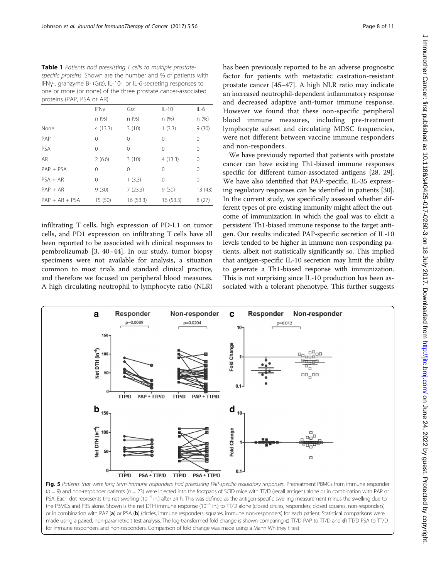<span id="page-7-0"></span>Table 1 Patients had preexisting T cells to multiple prostatespecific proteins. Shown are the number and % of patients with IFNγ-, granzyme B- (Grz), IL-10-, or IL-6-secreting responses to one or more (or none) of the three prostate cancer-associated proteins (PAP, PSA or AR)

|                  | IFNy    | Grz      | $IL-10$  | $IL-6$   |
|------------------|---------|----------|----------|----------|
|                  | n (%)   | n(%)     | n (%)    | n (%)    |
| None             | 4(13.3) | 3(10)    | 1(3.3)   | 9(30)    |
| PAP              | 0       | 0        | 0        | 0        |
| PSA              | 0       | 0        | 0        | 0        |
| AR.              | 2(6.6)  | 3(10)    | 4(13.3)  | 0        |
| $PAP + PSA$      | 0       | 0        | 0        | $\Omega$ |
| $PSA + AR$       | 0       | 1(3.3)   | 0        | 0        |
| $PAP + AR$       | 9(30)   | 7(23.3)  | 9(30)    | 13 (43)  |
| $PAP + AR + PSA$ | 15 (50) | 16(53.3) | 16(53.3) | 8(27)    |

infiltrating T cells, high expression of PD-L1 on tumor cells, and PD1 expression on infiltrating T cells have all been reported to be associated with clinical responses to pembrolizumab [\[3](#page-9-0), [40](#page-10-0)–[44](#page-10-0)]. In our study, tumor biopsy specimens were not available for analysis, a situation common to most trials and standard clinical practice, and therefore we focused on peripheral blood measures. A high circulating neutrophil to lymphocyte ratio (NLR) has been previously reported to be an adverse prognostic factor for patients with metastatic castration-resistant prostate cancer [[45](#page-10-0)–[47](#page-10-0)]. A high NLR ratio may indicate an increased neutrophil-dependent inflammatory response and decreased adaptive anti-tumor immune response. However we found that these non-specific peripheral blood immune measures, including pre-treatment lymphocyte subset and circulating MDSC frequencies, were not different between vaccine immune responders and non-responders.

We have previously reported that patients with prostate cancer can have existing Th1-biased immune responses specific for different tumor-associated antigens [\[28](#page-10-0), [29](#page-10-0)]. We have also identified that PAP-specific, IL-35 expressing regulatory responses can be identified in patients [[30](#page-10-0)]. In the current study, we specifically assessed whether different types of pre-existing immunity might affect the outcome of immunization in which the goal was to elicit a persistent Th1-biased immune response to the target antigen. Our results indicated PAP-specific secretion of IL-10 levels tended to be higher in immune non-responding patients, albeit not statistically significantly so. This implied that antigen-specific IL-10 secretion may limit the ability to generate a Th1-biased response with immunization. This is not surprising since IL-10 production has been associated with a tolerant phenotype. This further suggests



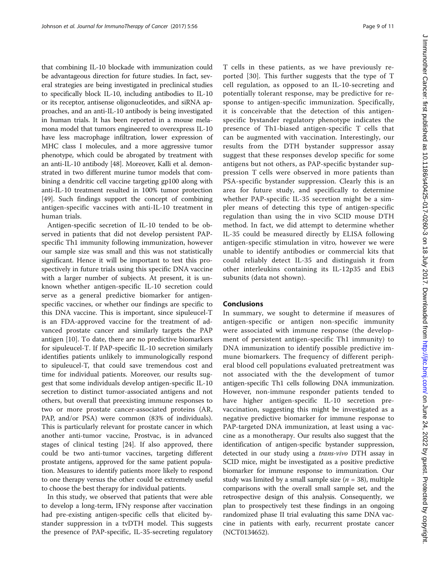that combining IL-10 blockade with immunization could be advantageous direction for future studies. In fact, several strategies are being investigated in preclinical studies to specifically block IL-10, including antibodies to IL-10 or its receptor, antisense oligonucleotides, and siRNA approaches, and an anti-IL-10 antibody is being investigated in human trials. It has been reported in a mouse melamona model that tumors engineered to overexpress IL-10 have less macrophage infiltration, lower expression of MHC class I molecules, and a more aggressive tumor phenotype, which could be abrogated by treatment with an anti-IL-10 antibody [[48](#page-10-0)]. Moreover, Kalli et al. demonstrated in two different murine tumor models that combining a dendritic cell vaccine targeting gp100 along with anti-IL-10 treatment resulted in 100% tumor protection [[49](#page-10-0)]. Such findings support the concept of combining antigen-specific vaccines with anti-IL-10 treatment in human trials.

Antigen-specific secretion of IL-10 tended to be observed in patients that did not develop persistent PAPspecific Th1 immunity following immunization, however our sample size was small and this was not statistically significant. Hence it will be important to test this prospectively in future trials using this specific DNA vaccine with a larger number of subjects. At present, it is unknown whether antigen-specific IL-10 secretion could serve as a general predictive biomarker for antigenspecific vaccines, or whether our findings are specific to this DNA vaccine. This is important, since sipuleucel-T is an FDA-approved vaccine for the treatment of advanced prostate cancer and similarly targets the PAP antigen [\[10\]](#page-9-0). To date, there are no predictive biomarkers for sipuleucel-T. If PAP-specific IL-10 secretion similarly identifies patients unlikely to immunologically respond to sipuleucel-T, that could save tremendous cost and time for individual patients. Moreover, our results suggest that some individuals develop antigen-specific IL-10 secretion to distinct tumor-associated antigens and not others, but overall that preexisting immune responses to two or more prostate cancer-associated proteins (AR, PAP, and/or PSA) were common (83% of individuals). This is particularly relevant for prostate cancer in which another anti-tumor vaccine, Prostvac, is in advanced stages of clinical testing [\[24](#page-9-0)]. If also approved, there could be two anti-tumor vaccines, targeting different prostate antigens, approved for the same patient population. Measures to identify patients more likely to respond to one therapy versus the other could be extremely useful to choose the best therapy for individual patients.

In this study, we observed that patients that were able to develop a long-term, IFNγ response after vaccination had pre-existing antigen-specific cells that elicited bystander suppression in a tvDTH model. This suggests the presence of PAP-specific, IL-35-secreting regulatory J Immunother Cancer: first published as 10.1186/s40425-017-0260-3 on 18 July 2017. Downloaded from http://jjtc.bmj.com/ on June 24, 2022 by guest. Protected by copyright J mmunother Cancer: first published as 10.1186/s40425-017-0260-3017. Downloaded from <http://jitc.bmj.com/> on June 24, 2022 by guest. Protected by copyright.

T cells in these patients, as we have previously reported [\[30](#page-10-0)]. This further suggests that the type of T cell regulation, as opposed to an IL-10-secreting and potentially tolerant response, may be predictive for response to antigen-specific immunization. Specifically, it is conceivable that the detection of this antigenspecific bystander regulatory phenotype indicates the presence of Th1-biased antigen-specific T cells that can be augmented with vaccination. Interestingly, our results from the DTH bystander suppressor assay suggest that these responses develop specific for some antigens but not others, as PAP-specific bystander suppression T cells were observed in more patients than PSA-specific bystander suppression. Clearly this is an area for future study, and specifically to determine whether PAP-specific IL-35 secretion might be a simpler means of detecting this type of antigen-specific regulation than using the in vivo SCID mouse DTH method. In fact, we did attempt to determine whether IL-35 could be measured directly by ELISA following antigen-specific stimulation in vitro, however we were unable to identify antibodies or commercial kits that could reliably detect IL-35 and distinguish it from other interleukins containing its IL-12p35 and Ebi3 subunits (data not shown).

### Conclusions

In summary, we sought to determine if measures of antigen-specific or antigen non-specific immunity were associated with immune response (the development of persistent antigen-specific Th1 immunity) to DNA immunization to identify possible predictive immune biomarkers. The frequency of different peripheral blood cell populations evaluated pretreatment was not associated with the the development of tumor antigen-specific Th1 cells following DNA immunization. However, non-immune responder patients tended to have higher antigen-specific IL-10 secretion prevaccination, suggesting this might be investigated as a negative predictive biomarker for immune response to PAP-targeted DNA immunization, at least using a vaccine as a monotherapy. Our results also suggest that the identification of antigen-specific bystander suppression, detected in our study using a trans-vivo DTH assay in SCID mice, might be investigated as a positive predictive biomarker for immune response to immunization. Our study was limited by a small sample size  $(n = 38)$ , multiple comparisons with the overall small sample set, and the retrospective design of this analysis. Consequently, we plan to prospectively test these findings in an ongoing randomized phase II trial evaluating this same DNA vaccine in patients with early, recurrent prostate cancer (NCT0134652).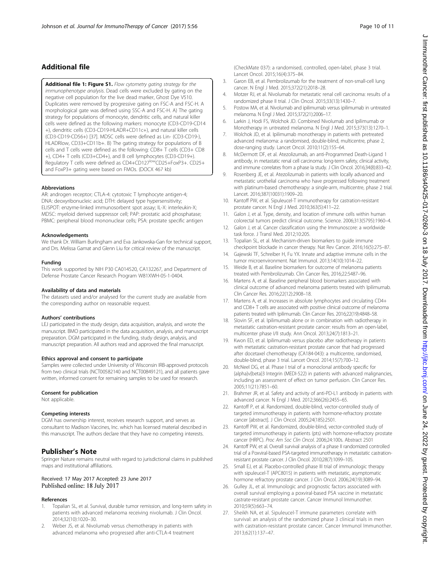# <span id="page-9-0"></span>Additional file

[Additional file 1: Figure S1.](dx.doi.org/10.1186/s40425-017-0260-3) Flow cytometry gating strategy for the immunophenotype analysis. Dead cells were excluded by gating on the negative cell population for the live dead marker, Ghost Dye V510. Duplicates were removed by progressive gating on FSC-A and FSC-H. A morphological gate was defined using SSC-A and FSC-H. A) The gating strategy for populations of monocyte, dendritic cells, and natural killer cells were defined as the following markers: monocyte (CD3-CD19-CD14 +), dendritic cells (CD3-CD19-HLADR+CD11c+), and natural killer cells (CD3-CD19-CD56+) [\[37](#page-10-0)]. MDSC cells were defined as Lin- (CD3-CD19-), HLADRlow, CD33+CD11b+. B) The gating strategy for populations of B cells and T cells were defined as the following: CD8+ T cells (CD3+ CD8 +), CD4+ T cells (CD3+CD4+), and B cell lymphocytes (CD3-CD19+). Regulatory T cells were defined as CD4+CD127<sup>low</sup>CD25+FoxP3+. CD25+ and FoxP3+ gating were based on FMOs. (DOCX 467 kb)

### **Abbreviations**

AR: androgen receptor; CTLA-4: cytotoxic T lymphocyte antigen-4; DNA: deoxyribonucleic acid; DTH: delayed type hypersensitivity; ELISPOT: enzyme-linked immunosorbent spot assay; IL-X: interleukin-X; MDSC: myeloid derived suppressor cell; PAP: prostatic acid phosphatase; PBMC: peripheral blood mononuclear cells; PSA: prostate specific antigen

### Acknowledgements

We thank Dr. William Burlingham and Eva Jankowska-Gan for technical support, and Drs. Melissa Gamat and Glenn Liu for critical review of the manuscript.

#### Funding

This work supported by NIH P30 CA014520, CA132267, and Department of Defense Prostate Cancer Research Program W81XWH-05-1-0404.

#### Availability of data and materials

The datasets used and/or analysed for the current study are available from the corresponding author on reasonable request.

#### Authors' contributions

LEJ participated in the study design, data acquisition, analysis, and wrote the manuscript. BMO participated in the data acquisition, analysis, and manuscript preparation. DGM participated in the funding, study design, analysis, and manuscript preparation. All authors read and approved the final manuscript.

### Ethics approval and consent to participate

Samples were collected under University of Wisconsin IRB-approved protocols from two clinical trials (NCT00582140 and NCT00849121), and all patients gave written, informed consent for remaining samples to be used for research.

#### Consent for publication

Not applicable.

### Competing interests

DGM has ownership interest, receives research support, and serves as consultant to Madison Vaccines, Inc. which has licensed material described in this manuscript. The authors declare that they have no competing interests.

### Publisher's Note

Springer Nature remains neutral with regard to jurisdictional claims in published maps and institutional affiliations.

### Received: 17 May 2017 Accepted: 23 June 2017 Published online: 18 July 2017

### References

- Topalian SL, et al. Survival, durable tumor remission, and long-term safety in patients with advanced melanoma receiving nivolumab. J Clin Oncol. 2014;32(10):1020–30.
- Weber JS, et al. Nivolumab versus chemotherapy in patients with advanced melanoma who progressed after anti-CTLA-4 treatment

(CheckMate 037): a randomised, controlled, open-label, phase 3 trial. Lancet Oncol. 2015;16(4):375–84.

- 3. Garon EB, et al. Pembrolizumab for the treatment of non-small-cell lung cancer. N Engl J Med. 2015;372(21):2018–28.
- 4. Motzer RJ, et al. Nivolumab for metastatic renal cell carcinoma: results of a randomized phase II trial. J Clin Oncol. 2015;33(13):1430–7.
- 5. Postow MA, et al. Nivolumab and ipilimumab versus ipilimumab in untreated melanoma. N Engl J Med. 2015;372(21):2006–17.
- 6. Larkin J, Hodi FS, Wolchok JD. Combined Nivolumab and Ipilimumab or Monotherapy in untreated melanoma. N Engl J Med. 2015;373(13):1270–1.
- 7. Wolchok JD, et al. Ipilimumab monotherapy in patients with pretreated advanced melanoma: a randomised, double-blind, multicentre, phase 2, dose-ranging study. Lancet Oncol. 2010;11(2):155–64.
- 8. McDermott DF, et al. Atezolizumab, an anti-Programmed Death-Ligand 1 antibody, in metastatic renal cell carcinoma: long-term safety, clinical activity, and immune correlates from a phase Ia study. J Clin Oncol. 2016;34(8):833–42.
- 9. Rosenberg JE, et al. Atezolizumab in patients with locally advanced and metastatic urothelial carcinoma who have progressed following treatment with platinum-based chemotherapy: a single-arm, multicentre, phase 2 trial. Lancet. 2016;387(10031):1909–20.
- 10. Kantoff PW, et al. Sipuleucel-T immunotherapy for castration-resistant prostate cancer. N Engl J Med. 2010;363(5):411–22.
- 11. Galon J, et al. Type, density, and location of immune cells within human colorectal tumors predict clinical outcome. Science. 2006;313(5795):1960–4.
- 12. Galon J, et al. Cancer classification using the Immunoscore: a worldwide task force. J Transl Med. 2012;10:205.
- 13. Topalian SL, et al. Mechanism-driven biomarkers to guide immune checkpoint blockade in cancer therapy. Nat Rev Cancer. 2016;16(5):275–87.
- 14. Gajewski TF, Schreiber H, Fu YX. Innate and adaptive immune cells in the tumor microenvironment. Nat Immunol. 2013;14(10):1014–22.
- 15. Weide B, et al. Baseline biomarkers for outcome of melanoma patients treated with Pembrolizumab. Clin Cancer Res, 2016;22:5487–96.
- 16. Martens A, et al. Baseline peripheral blood biomarkers associated with clinical outcome of advanced melanoma patients treated with Ipilimumab. Clin Cancer Res. 2016;22(12):2908–18.
- 17. Martens A, et al. Increases in absolute lymphocytes and circulating CD4+ and CD8+ T cells are associated with positive clinical outcome of melanoma patients treated with Ipilimumab. Clin Cancer Res. 2016;22(19):4848–58.
- 18. Slovin SF, et al. Ipilimumab alone or in combination with radiotherapy in metastatic castration-resistant prostate cancer: results from an open-label, multicenter phase I/II study. Ann Oncol. 2013;24(7):1813–21.
- 19. Kwon ED, et al. Ipilimumab versus placebo after radiotherapy in patients with metastatic castration-resistant prostate cancer that had progressed after docetaxel chemotherapy (CA184-043): a multicentre, randomised, double-blind, phase 3 trial. Lancet Oncol. 2014;15(7):700–12.
- 20. McNeel DG, et al. Phase I trial of a monoclonal antibody specific for {alpha}v{beta}3 Integrin (MEDI-522) in patients with advanced malignancies, including an assessment of effect on tumor perfusion. Clin Cancer Res. 2005;11(21):7851–60.
- 21. Brahmer JR, et al. Safety and activity of anti-PD-L1 antibody in patients with advanced cancer. N Engl J Med. 2012;366(26):2455–65.
- 22. Kantoff P, et al. Randomized, double-blind, vector-controlled study of targeted immunotherapy in patients with hormone-refractory prostate cancer [abstract]. J Clin Oncol. 2005;24(18S):2501.
- 23. Kantoff PW, et al. Randomized, double-blind, vector-controlled study of targeted immunotherapy in patients (pts) with hormone-refractory prostate cancer (HRPC). Proc Am Soc Clin Oncol. 2006;24:100s. Abstract 2501
- 24. Kantoff PW, et al. Overall survival analysis of a phase II randomized controlled trial of a Poxviral-based PSA-targeted immunotherapy in metastatic castrationresistant prostate cancer. J Clin Oncol. 2010;28(7):1099–105.
- 25. Small EJ, et al. Placebo-controlled phase III trial of immunologic therapy with sipuleucel-T (APC8015) in patients with metastatic, asymptomatic hormone refractory prostate cancer. J Clin Oncol. 2006;24(19):3089–94.
- 26. Gulley JL, et al. Immunologic and prognostic factors associated with overall survival employing a poxviral-based PSA vaccine in metastatic castrate-resistant prostate cancer. Cancer Immunol Immunother. 2010;59(5):663–74.
- 27. Sheikh NA, et al. Sipuleucel-T immune parameters correlate with survival: an analysis of the randomized phase 3 clinical trials in men with castration-resistant prostate cancer. Cancer Immunol Immunother. 2013;62(1):137–47.